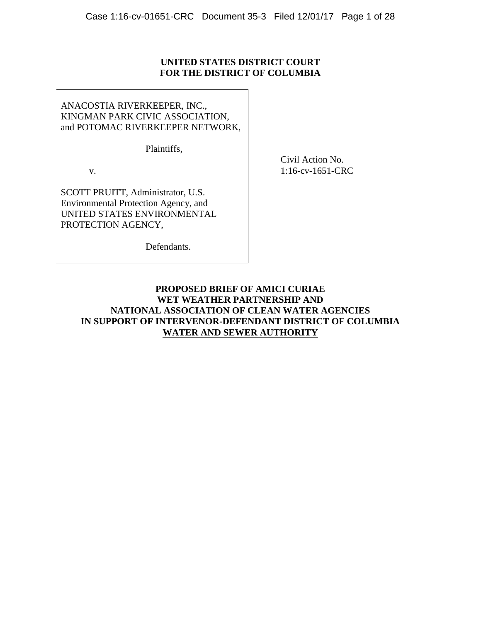# **UNITED STATES DISTRICT COURT FOR THE DISTRICT OF COLUMBIA**

ANACOSTIA RIVERKEEPER, INC., KINGMAN PARK CIVIC ASSOCIATION, and POTOMAC RIVERKEEPER NETWORK,

Plaintiffs,

v.

Civil Action No. 1:16-cv-1651-CRC

SCOTT PRUITT, Administrator, U.S. Environmental Protection Agency, and UNITED STATES ENVIRONMENTAL PROTECTION AGENCY,

Defendants.

# **PROPOSED BRIEF OF AMICI CURIAE WET WEATHER PARTNERSHIP AND NATIONAL ASSOCIATION OF CLEAN WATER AGENCIES IN SUPPORT OF INTERVENOR-DEFENDANT DISTRICT OF COLUMBIA WATER AND SEWER AUTHORITY**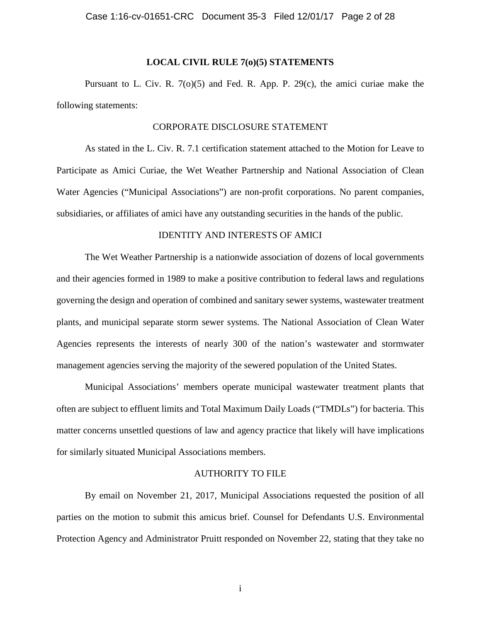### **LOCAL CIVIL RULE 7(o)(5) STATEMENTS**

Pursuant to L. Civ. R. 7(o)(5) and Fed. R. App. P. 29(c), the amici curiae make the following statements:

### CORPORATE DISCLOSURE STATEMENT

As stated in the L. Civ. R. 7.1 certification statement attached to the Motion for Leave to Participate as Amici Curiae, the Wet Weather Partnership and National Association of Clean Water Agencies ("Municipal Associations") are non-profit corporations. No parent companies, subsidiaries, or affiliates of amici have any outstanding securities in the hands of the public.

### IDENTITY AND INTERESTS OF AMICI

The Wet Weather Partnership is a nationwide association of dozens of local governments and their agencies formed in 1989 to make a positive contribution to federal laws and regulations governing the design and operation of combined and sanitary sewer systems, wastewater treatment plants, and municipal separate storm sewer systems. The National Association of Clean Water Agencies represents the interests of nearly 300 of the nation's wastewater and stormwater management agencies serving the majority of the sewered population of the United States.

Municipal Associations' members operate municipal wastewater treatment plants that often are subject to effluent limits and Total Maximum Daily Loads ("TMDLs") for bacteria. This matter concerns unsettled questions of law and agency practice that likely will have implications for similarly situated Municipal Associations members.

### AUTHORITY TO FILE

By email on November 21, 2017, Municipal Associations requested the position of all parties on the motion to submit this amicus brief. Counsel for Defendants U.S. Environmental Protection Agency and Administrator Pruitt responded on November 22, stating that they take no

i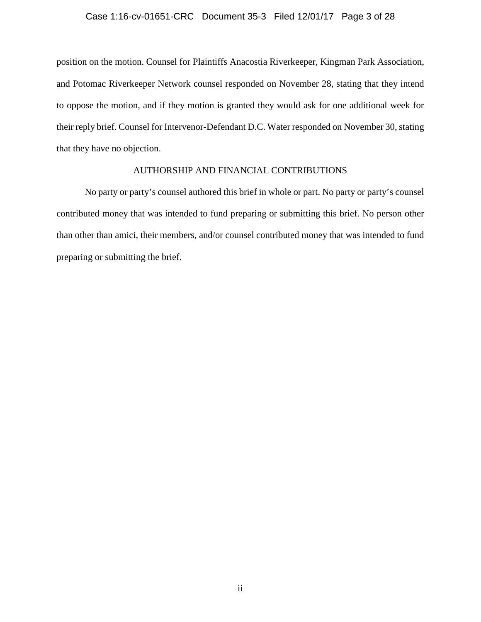### Case 1:16-cv-01651-CRC Document 35-3 Filed 12/01/17 Page 3 of 28

position on the motion. Counsel for Plaintiffs Anacostia Riverkeeper, Kingman Park Association, and Potomac Riverkeeper Network counsel responded on November 28, stating that they intend to oppose the motion, and if they motion is granted they would ask for one additional week for their reply brief. Counsel for Intervenor-Defendant D.C. Water responded on November 30, stating that they have no objection.

### AUTHORSHIP AND FINANCIAL CONTRIBUTIONS

No party or party's counsel authored this brief in whole or part. No party or party's counsel contributed money that was intended to fund preparing or submitting this brief. No person other than other than amici, their members, and/or counsel contributed money that was intended to fund preparing or submitting the brief.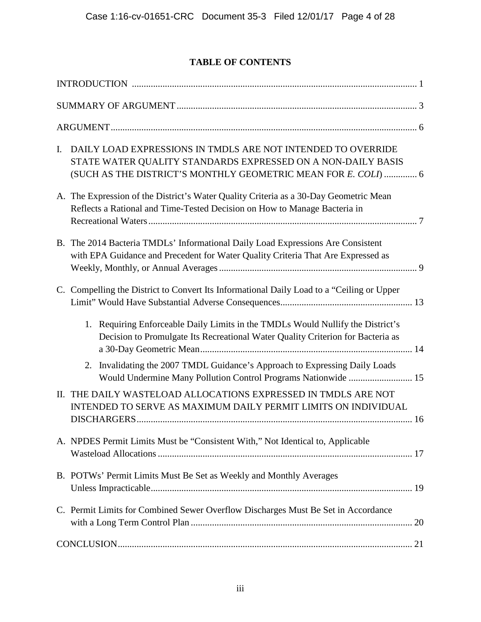# **TABLE OF CONTENTS**

| $\mathbf{I}$ . | DAILY LOAD EXPRESSIONS IN TMDLS ARE NOT INTENDED TO OVERRIDE<br>STATE WATER QUALITY STANDARDS EXPRESSED ON A NON-DAILY BASIS<br>(SUCH AS THE DISTRICT'S MONTHLY GEOMETRIC MEAN FOR E. COLI)  6 |
|----------------|------------------------------------------------------------------------------------------------------------------------------------------------------------------------------------------------|
|                | A. The Expression of the District's Water Quality Criteria as a 30-Day Geometric Mean<br>Reflects a Rational and Time-Tested Decision on How to Manage Bacteria in                             |
|                | B. The 2014 Bacteria TMDLs' Informational Daily Load Expressions Are Consistent<br>with EPA Guidance and Precedent for Water Quality Criteria That Are Expressed as                            |
|                | C. Compelling the District to Convert Its Informational Daily Load to a "Ceiling or Upper                                                                                                      |
|                | Requiring Enforceable Daily Limits in the TMDLs Would Nullify the District's<br>1.<br>Decision to Promulgate Its Recreational Water Quality Criterion for Bacteria as                          |
|                | Invalidating the 2007 TMDL Guidance's Approach to Expressing Daily Loads<br>2.<br>Would Undermine Many Pollution Control Programs Nationwide  15                                               |
|                | II. THE DAILY WASTELOAD ALLOCATIONS EXPRESSED IN TMDLS ARE NOT<br>INTENDED TO SERVE AS MAXIMUM DAILY PERMIT LIMITS ON INDIVIDUAL                                                               |
|                | A. NPDES Permit Limits Must be "Consistent With," Not Identical to, Applicable                                                                                                                 |
|                | B. POTWs' Permit Limits Must Be Set as Weekly and Monthly Averages                                                                                                                             |
|                | C. Permit Limits for Combined Sewer Overflow Discharges Must Be Set in Accordance                                                                                                              |
|                |                                                                                                                                                                                                |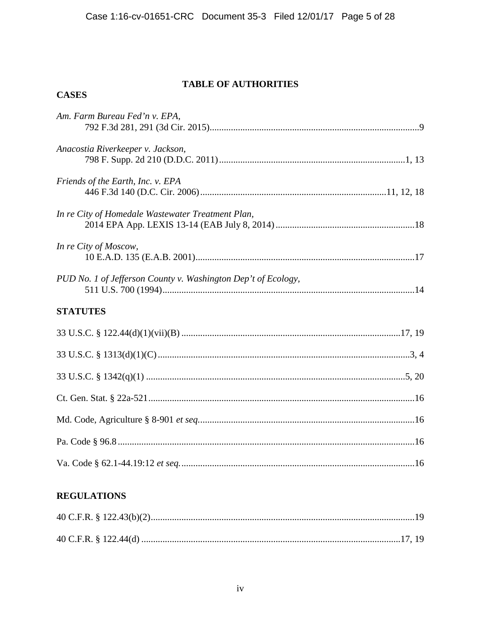# **TABLE OF AUTHORITIES**

| Am. Farm Bureau Fed'n v. EPA,                                 |  |  |  |
|---------------------------------------------------------------|--|--|--|
| Anacostia Riverkeeper v. Jackson,                             |  |  |  |
| Friends of the Earth, Inc. v. EPA                             |  |  |  |
| In re City of Homedale Wastewater Treatment Plan,             |  |  |  |
| In re City of Moscow,                                         |  |  |  |
| PUD No. 1 of Jefferson County v. Washington Dep't of Ecology, |  |  |  |
| <b>STATUTES</b>                                               |  |  |  |
|                                                               |  |  |  |
|                                                               |  |  |  |
|                                                               |  |  |  |
|                                                               |  |  |  |
|                                                               |  |  |  |
|                                                               |  |  |  |
|                                                               |  |  |  |

# **REGULATIONS**

**CASES**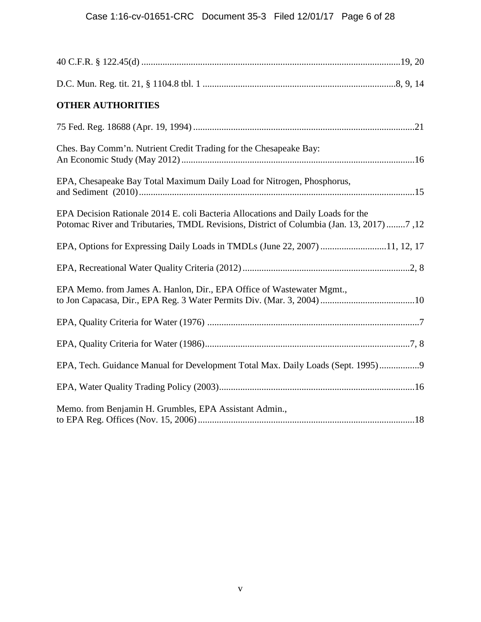| <b>OTHER AUTHORITIES</b>                                                                                                                                                      |  |
|-------------------------------------------------------------------------------------------------------------------------------------------------------------------------------|--|
|                                                                                                                                                                               |  |
| Ches. Bay Comm'n. Nutrient Credit Trading for the Chesapeake Bay:                                                                                                             |  |
| EPA, Chesapeake Bay Total Maximum Daily Load for Nitrogen, Phosphorus,                                                                                                        |  |
| EPA Decision Rationale 2014 E. coli Bacteria Allocations and Daily Loads for the<br>Potomac River and Tributaries, TMDL Revisions, District of Columbia (Jan. 13, 2017) 7, 12 |  |
| EPA, Options for Expressing Daily Loads in TMDLs (June 22, 2007) 11, 12, 17                                                                                                   |  |
|                                                                                                                                                                               |  |
| EPA Memo. from James A. Hanlon, Dir., EPA Office of Wastewater Mgmt.,                                                                                                         |  |
|                                                                                                                                                                               |  |
|                                                                                                                                                                               |  |
| EPA, Tech. Guidance Manual for Development Total Max. Daily Loads (Sept. 1995)9                                                                                               |  |
|                                                                                                                                                                               |  |
| Memo. from Benjamin H. Grumbles, EPA Assistant Admin.,                                                                                                                        |  |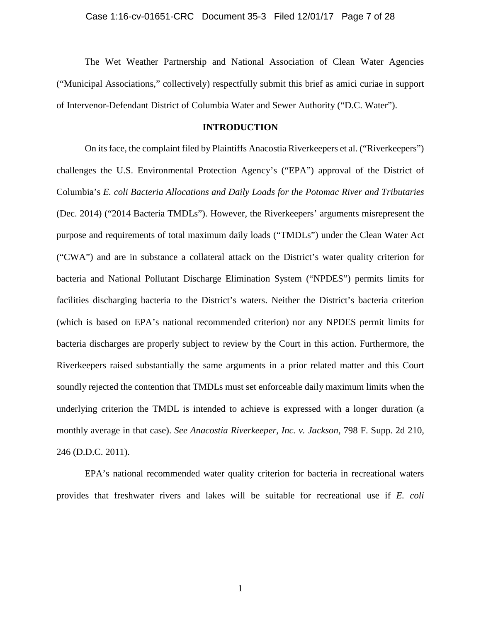The Wet Weather Partnership and National Association of Clean Water Agencies ("Municipal Associations," collectively) respectfully submit this brief as amici curiae in support of Intervenor-Defendant District of Columbia Water and Sewer Authority ("D.C. Water").

### **INTRODUCTION**

<span id="page-6-0"></span>On its face, the complaint filed by Plaintiffs Anacostia Riverkeepers et al. ("Riverkeepers") challenges the U.S. Environmental Protection Agency's ("EPA") approval of the District of Columbia's *E. coli Bacteria Allocations and Daily Loads for the Potomac River and Tributaries* (Dec. 2014) ("2014 Bacteria TMDLs"). However, the Riverkeepers' arguments misrepresent the purpose and requirements of total maximum daily loads ("TMDLs") under the Clean Water Act ("CWA") and are in substance a collateral attack on the District's water quality criterion for bacteria and National Pollutant Discharge Elimination System ("NPDES") permits limits for facilities discharging bacteria to the District's waters. Neither the District's bacteria criterion (which is based on EPA's national recommended criterion) nor any NPDES permit limits for bacteria discharges are properly subject to review by the Court in this action. Furthermore, the Riverkeepers raised substantially the same arguments in a prior related matter and this Court soundly rejected the contention that TMDLs must set enforceable daily maximum limits when the underlying criterion the TMDL is intended to achieve is expressed with a longer duration (a monthly average in that case). *See Anacostia Riverkeeper, Inc. v. Jackson*, 798 F. Supp. 2d 210, 246 (D.D.C. 2011).

EPA's national recommended water quality criterion for bacteria in recreational waters provides that freshwater rivers and lakes will be suitable for recreational use if *E. coli*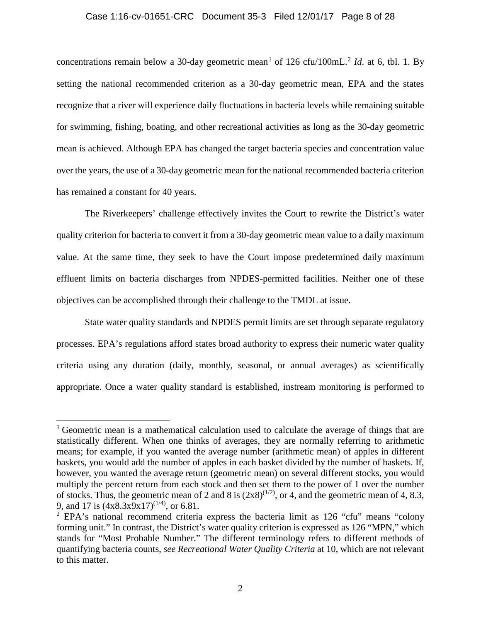### Case 1:16-cv-01651-CRC Document 35-3 Filed 12/01/17 Page 8 of 28

concentrations remain below a 30-day geometric mean<sup>[1](#page-7-0)</sup> of 1[2](#page-7-1)6 cfu/100mL.<sup>2</sup> *Id.* at 6, tbl. 1. By setting the national recommended criterion as a 30-day geometric mean, EPA and the states recognize that a river will experience daily fluctuations in bacteria levels while remaining suitable for swimming, fishing, boating, and other recreational activities as long as the 30-day geometric mean is achieved. Although EPA has changed the target bacteria species and concentration value over the years, the use of a 30-day geometric mean for the national recommended bacteria criterion has remained a constant for 40 years.

The Riverkeepers' challenge effectively invites the Court to rewrite the District's water quality criterion for bacteria to convert it from a 30-day geometric mean value to a daily maximum value. At the same time, they seek to have the Court impose predetermined daily maximum effluent limits on bacteria discharges from NPDES-permitted facilities. Neither one of these objectives can be accomplished through their challenge to the TMDL at issue.

State water quality standards and NPDES permit limits are set through separate regulatory processes. EPA's regulations afford states broad authority to express their numeric water quality criteria using any duration (daily, monthly, seasonal, or annual averages) as scientifically appropriate. Once a water quality standard is established, instream monitoring is performed to

l

<span id="page-7-0"></span><sup>&</sup>lt;sup>1</sup> Geometric mean is a mathematical calculation used to calculate the average of things that are statistically different. When one thinks of averages, they are normally referring to arithmetic means; for example, if you wanted the average number (arithmetic mean) of apples in different baskets, you would add the number of apples in each basket divided by the number of baskets. If, however, you wanted the average return (geometric mean) on several different stocks, you would multiply the percent return from each stock and then set them to the power of 1 over the number of stocks. Thus, the geometric mean of 2 and 8 is  $(2x8)^{(1/2)}$ , or 4, and the geometric mean of 4, 8.3, 9, and 17 is  $(4x8.3x9x17)^{(1/4)}$ , or 6.81.

<span id="page-7-1"></span> $2$  EPA's national recommend criteria express the bacteria limit as 126 "cfu" means "colony forming unit." In contrast, the District's water quality criterion is expressed as 126 "MPN," which stands for "Most Probable Number." The different terminology refers to different methods of quantifying bacteria counts, *see Recreational Water Quality Criteria* at 10, which are not relevant to this matter.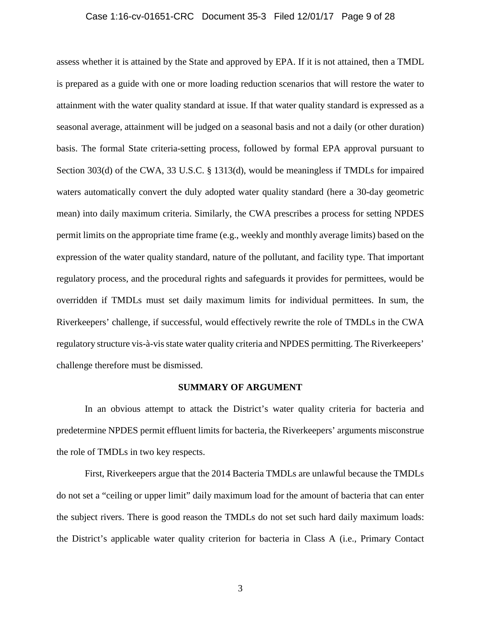### Case 1:16-cv-01651-CRC Document 35-3 Filed 12/01/17 Page 9 of 28

assess whether it is attained by the State and approved by EPA. If it is not attained, then a TMDL is prepared as a guide with one or more loading reduction scenarios that will restore the water to attainment with the water quality standard at issue. If that water quality standard is expressed as a seasonal average, attainment will be judged on a seasonal basis and not a daily (or other duration) basis. The formal State criteria-setting process, followed by formal EPA approval pursuant to Section 303(d) of the CWA, 33 U.S.C. § 1313(d), would be meaningless if TMDLs for impaired waters automatically convert the duly adopted water quality standard (here a 30-day geometric mean) into daily maximum criteria. Similarly, the CWA prescribes a process for setting NPDES permit limits on the appropriate time frame (e.g., weekly and monthly average limits) based on the expression of the water quality standard, nature of the pollutant, and facility type. That important regulatory process, and the procedural rights and safeguards it provides for permittees, would be overridden if TMDLs must set daily maximum limits for individual permittees. In sum, the Riverkeepers' challenge, if successful, would effectively rewrite the role of TMDLs in the CWA regulatory structure vis-à-visstate water quality criteria and NPDES permitting. The Riverkeepers' challenge therefore must be dismissed.

#### **SUMMARY OF ARGUMENT**

<span id="page-8-0"></span>In an obvious attempt to attack the District's water quality criteria for bacteria and predetermine NPDES permit effluent limits for bacteria, the Riverkeepers' arguments misconstrue the role of TMDLs in two key respects.

First, Riverkeepers argue that the 2014 Bacteria TMDLs are unlawful because the TMDLs do not set a "ceiling or upper limit" daily maximum load for the amount of bacteria that can enter the subject rivers. There is good reason the TMDLs do not set such hard daily maximum loads: the District's applicable water quality criterion for bacteria in Class A (i.e., Primary Contact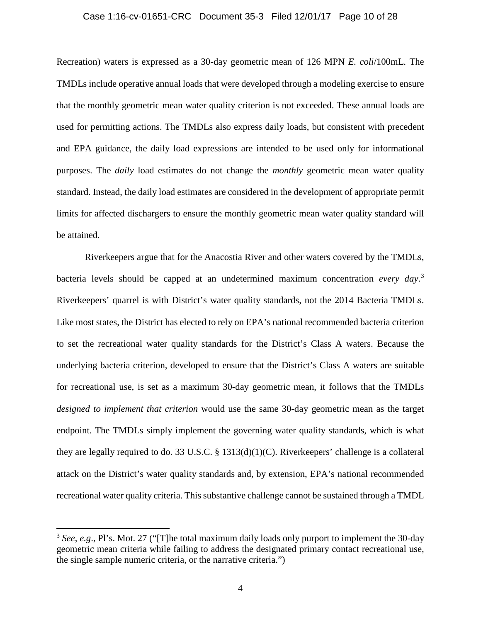#### Case 1:16-cv-01651-CRC Document 35-3 Filed 12/01/17 Page 10 of 28

Recreation) waters is expressed as a 30-day geometric mean of 126 MPN *E. coli*/100mL. The TMDLs include operative annual loads that were developed through a modeling exercise to ensure that the monthly geometric mean water quality criterion is not exceeded. These annual loads are used for permitting actions. The TMDLs also express daily loads, but consistent with precedent and EPA guidance, the daily load expressions are intended to be used only for informational purposes. The *daily* load estimates do not change the *monthly* geometric mean water quality standard. Instead, the daily load estimates are considered in the development of appropriate permit limits for affected dischargers to ensure the monthly geometric mean water quality standard will be attained.

Riverkeepers argue that for the Anacostia River and other waters covered by the TMDLs, bacteria levels should be capped at an undetermined maximum concentration *every day*. [3](#page-9-0) Riverkeepers' quarrel is with District's water quality standards, not the 2014 Bacteria TMDLs. Like most states, the District has elected to rely on EPA's national recommended bacteria criterion to set the recreational water quality standards for the District's Class A waters. Because the underlying bacteria criterion, developed to ensure that the District's Class A waters are suitable for recreational use, is set as a maximum 30-day geometric mean, it follows that the TMDLs *designed to implement that criterion* would use the same 30-day geometric mean as the target endpoint. The TMDLs simply implement the governing water quality standards, which is what they are legally required to do. 33 U.S.C. § 1313(d)(1)(C). Riverkeepers' challenge is a collateral attack on the District's water quality standards and, by extension, EPA's national recommended recreational water quality criteria. This substantive challenge cannot be sustained through a TMDL

l

<span id="page-9-0"></span><sup>3</sup> *See*, *e.g*., Pl's. Mot. 27 ("[T]he total maximum daily loads only purport to implement the 30-day geometric mean criteria while failing to address the designated primary contact recreational use, the single sample numeric criteria, or the narrative criteria.")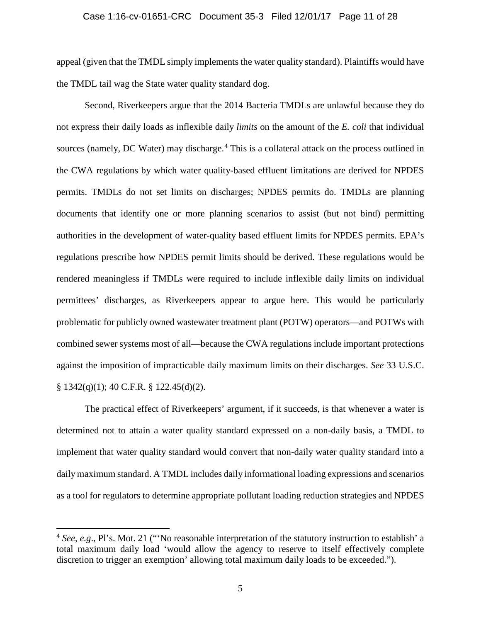### Case 1:16-cv-01651-CRC Document 35-3 Filed 12/01/17 Page 11 of 28

appeal (given that the TMDL simply implements the water quality standard). Plaintiffs would have the TMDL tail wag the State water quality standard dog.

Second, Riverkeepers argue that the 2014 Bacteria TMDLs are unlawful because they do not express their daily loads as inflexible daily *limits* on the amount of the *E. coli* that individual sources (namely, DC Water) may discharge.<sup>[4](#page-10-0)</sup> This is a collateral attack on the process outlined in the CWA regulations by which water quality-based effluent limitations are derived for NPDES permits. TMDLs do not set limits on discharges; NPDES permits do. TMDLs are planning documents that identify one or more planning scenarios to assist (but not bind) permitting authorities in the development of water-quality based effluent limits for NPDES permits. EPA's regulations prescribe how NPDES permit limits should be derived. These regulations would be rendered meaningless if TMDLs were required to include inflexible daily limits on individual permittees' discharges, as Riverkeepers appear to argue here. This would be particularly problematic for publicly owned wastewater treatment plant (POTW) operators—and POTWs with combined sewer systems most of all—because the CWA regulations include important protections against the imposition of impracticable daily maximum limits on their discharges. *See* 33 U.S.C. § 1342(q)(1); 40 C.F.R. § 122.45(d)(2).

The practical effect of Riverkeepers' argument, if it succeeds, is that whenever a water is determined not to attain a water quality standard expressed on a non-daily basis, a TMDL to implement that water quality standard would convert that non-daily water quality standard into a daily maximum standard. A TMDL includes daily informational loading expressions and scenarios as a tool for regulators to determine appropriate pollutant loading reduction strategies and NPDES

l

<span id="page-10-0"></span><sup>4</sup> *See*, *e.g*., Pl's. Mot. 21 ("'No reasonable interpretation of the statutory instruction to establish' a total maximum daily load 'would allow the agency to reserve to itself effectively complete discretion to trigger an exemption' allowing total maximum daily loads to be exceeded.").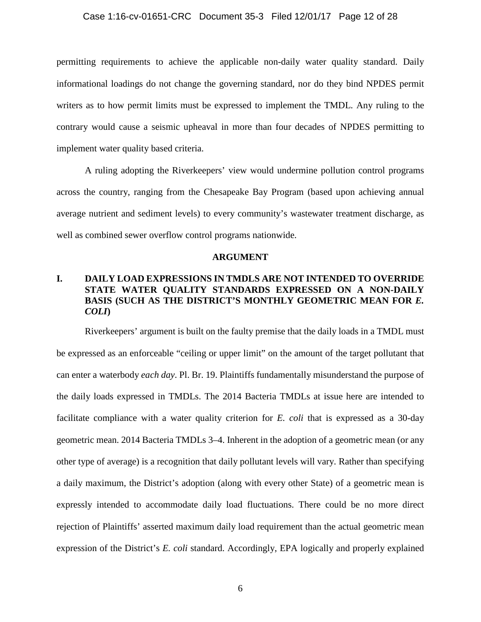### Case 1:16-cv-01651-CRC Document 35-3 Filed 12/01/17 Page 12 of 28

permitting requirements to achieve the applicable non-daily water quality standard. Daily informational loadings do not change the governing standard, nor do they bind NPDES permit writers as to how permit limits must be expressed to implement the TMDL. Any ruling to the contrary would cause a seismic upheaval in more than four decades of NPDES permitting to implement water quality based criteria.

A ruling adopting the Riverkeepers' view would undermine pollution control programs across the country, ranging from the Chesapeake Bay Program (based upon achieving annual average nutrient and sediment levels) to every community's wastewater treatment discharge, as well as combined sewer overflow control programs nationwide.

#### **ARGUMENT**

# <span id="page-11-1"></span><span id="page-11-0"></span>**I. DAILY LOAD EXPRESSIONS IN TMDLS ARE NOT INTENDED TO OVERRIDE STATE WATER QUALITY STANDARDS EXPRESSED ON A NON-DAILY BASIS (SUCH AS THE DISTRICT'S MONTHLY GEOMETRIC MEAN FOR** *E. COLI***)**

Riverkeepers' argument is built on the faulty premise that the daily loads in a TMDL must be expressed as an enforceable "ceiling or upper limit" on the amount of the target pollutant that can enter a waterbody *each day*. Pl. Br. 19. Plaintiffs fundamentally misunderstand the purpose of the daily loads expressed in TMDLs. The 2014 Bacteria TMDLs at issue here are intended to facilitate compliance with a water quality criterion for *E. coli* that is expressed as a 30-day geometric mean. 2014 Bacteria TMDLs 3–4. Inherent in the adoption of a geometric mean (or any other type of average) is a recognition that daily pollutant levels will vary. Rather than specifying a daily maximum, the District's adoption (along with every other State) of a geometric mean is expressly intended to accommodate daily load fluctuations. There could be no more direct rejection of Plaintiffs' asserted maximum daily load requirement than the actual geometric mean expression of the District's *E. coli* standard. Accordingly, EPA logically and properly explained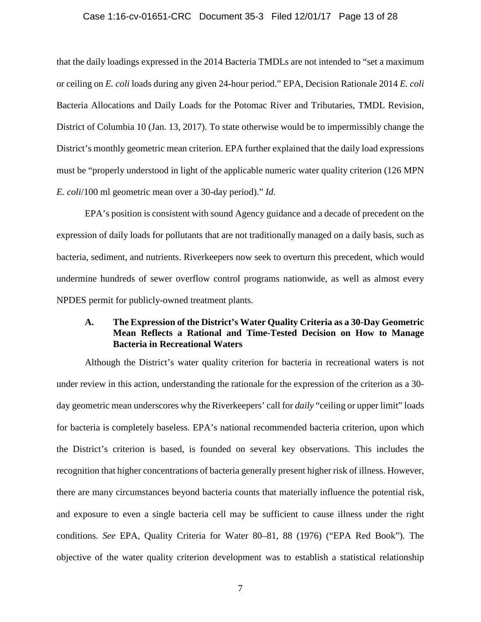### Case 1:16-cv-01651-CRC Document 35-3 Filed 12/01/17 Page 13 of 28

that the daily loadings expressed in the 2014 Bacteria TMDLs are not intended to "set a maximum or ceiling on *E. coli* loads during any given 24-hour period." EPA, Decision Rationale 2014 *E. coli* Bacteria Allocations and Daily Loads for the Potomac River and Tributaries, TMDL Revision, District of Columbia 10 (Jan. 13, 2017). To state otherwise would be to impermissibly change the District's monthly geometric mean criterion. EPA further explained that the daily load expressions must be "properly understood in light of the applicable numeric water quality criterion (126 MPN *E. coli*/100 ml geometric mean over a 30-day period)." *Id*.

EPA's position is consistent with sound Agency guidance and a decade of precedent on the expression of daily loads for pollutants that are not traditionally managed on a daily basis, such as bacteria, sediment, and nutrients. Riverkeepers now seek to overturn this precedent, which would undermine hundreds of sewer overflow control programs nationwide, as well as almost every NPDES permit for publicly-owned treatment plants.

### <span id="page-12-0"></span>**A. The Expression of the District's Water Quality Criteria as a 30-Day Geometric Mean Reflects a Rational and Time-Tested Decision on How to Manage Bacteria in Recreational Waters**

Although the District's water quality criterion for bacteria in recreational waters is not under review in this action, understanding the rationale for the expression of the criterion as a 30 day geometric mean underscores why the Riverkeepers' call for *daily* "ceiling or upper limit" loads for bacteria is completely baseless. EPA's national recommended bacteria criterion, upon which the District's criterion is based, is founded on several key observations. This includes the recognition that higher concentrations of bacteria generally present higher risk of illness. However, there are many circumstances beyond bacteria counts that materially influence the potential risk, and exposure to even a single bacteria cell may be sufficient to cause illness under the right conditions. *See* EPA, Quality Criteria for Water 80–81, 88 (1976) ("EPA Red Book"). The objective of the water quality criterion development was to establish a statistical relationship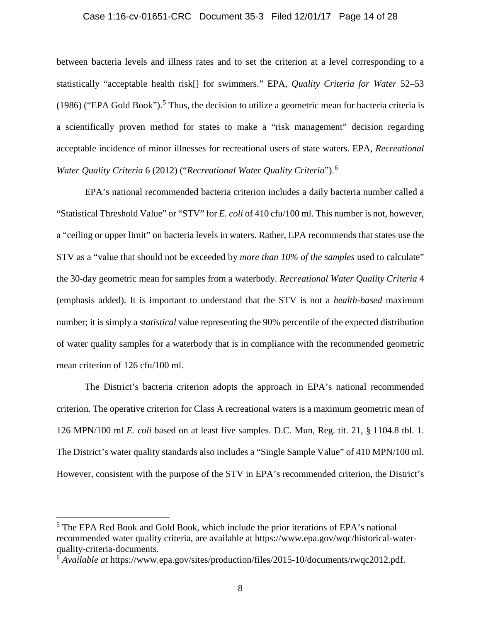### Case 1:16-cv-01651-CRC Document 35-3 Filed 12/01/17 Page 14 of 28

between bacteria levels and illness rates and to set the criterion at a level corresponding to a statistically "acceptable health risk[] for swimmers." EPA, *Quality Criteria for Water* 52–53 (1986) ("EPA Gold Book").<sup>[5](#page-13-0)</sup> Thus, the decision to utilize a geometric mean for bacteria criteria is a scientifically proven method for states to make a "risk management" decision regarding acceptable incidence of minor illnesses for recreational users of state waters. EPA, *Recreational Water Quality Criteria* 6 (2012) ("*Recreational Water Quality Criteria*").[6](#page-13-1)

EPA's national recommended bacteria criterion includes a daily bacteria number called a "Statistical Threshold Value" or "STV" for *E. coli* of 410 cfu/100 ml. This number is not, however, a "ceiling or upper limit" on bacteria levels in waters. Rather, EPA recommends that states use the STV as a "value that should not be exceeded by *more than 10% of the samples* used to calculate" the 30-day geometric mean for samples from a waterbody. *Recreational Water Quality Criteria* 4 (emphasis added). It is important to understand that the STV is not a *health-based* maximum number; it is simply a *statistical* value representing the 90% percentile of the expected distribution of water quality samples for a waterbody that is in compliance with the recommended geometric mean criterion of 126 cfu/100 ml.

The District's bacteria criterion adopts the approach in EPA's national recommended criterion. The operative criterion for Class A recreational waters is a maximum geometric mean of 126 MPN/100 ml *E. coli* based on at least five samples. D.C. Mun, Reg. tit. 21, § 1104.8 tbl. 1. The District's water quality standards also includes a "Single Sample Value" of 410 MPN/100 ml. However, consistent with the purpose of the STV in EPA's recommended criterion, the District's

<span id="page-13-0"></span><sup>&</sup>lt;sup>5</sup> The EPA Red Book and Gold Book, which include the prior iterations of EPA's national recommended water quality criteria, are available at https://www.epa.gov/wqc/historical-waterquality-criteria-documents.

<span id="page-13-1"></span><sup>6</sup> *Available at* https://www.epa.gov/sites/production/files/2015-10/documents/rwqc2012.pdf.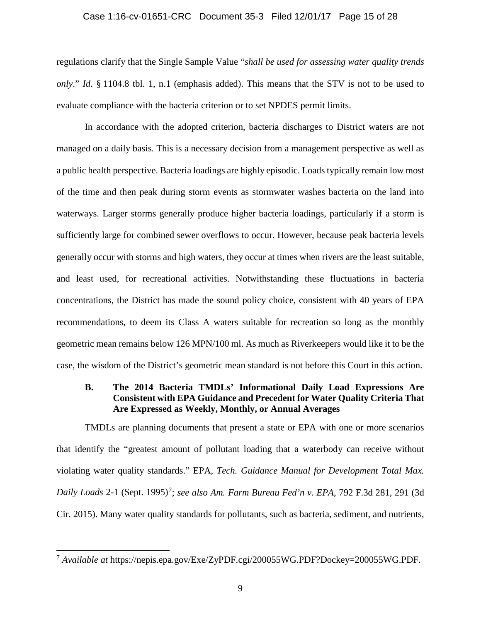### Case 1:16-cv-01651-CRC Document 35-3 Filed 12/01/17 Page 15 of 28

regulations clarify that the Single Sample Value "*shall be used for assessing water quality trends only*." *Id*. § 1104.8 tbl. 1, n.1 (emphasis added). This means that the STV is not to be used to evaluate compliance with the bacteria criterion or to set NPDES permit limits.

In accordance with the adopted criterion, bacteria discharges to District waters are not managed on a daily basis. This is a necessary decision from a management perspective as well as a public health perspective. Bacteria loadings are highly episodic. Loads typically remain low most of the time and then peak during storm events as stormwater washes bacteria on the land into waterways. Larger storms generally produce higher bacteria loadings, particularly if a storm is sufficiently large for combined sewer overflows to occur. However, because peak bacteria levels generally occur with storms and high waters, they occur at times when rivers are the least suitable, and least used, for recreational activities. Notwithstanding these fluctuations in bacteria concentrations, the District has made the sound policy choice, consistent with 40 years of EPA recommendations, to deem its Class A waters suitable for recreation so long as the monthly geometric mean remains below 126 MPN/100 ml. As much as Riverkeepers would like it to be the case, the wisdom of the District's geometric mean standard is not before this Court in this action.

## <span id="page-14-0"></span>**B. The 2014 Bacteria TMDLs' Informational Daily Load Expressions Are Consistent with EPA Guidance and Precedent for Water Quality Criteria That Are Expressed as Weekly, Monthly, or Annual Averages**

TMDLs are planning documents that present a state or EPA with one or more scenarios that identify the "greatest amount of pollutant loading that a waterbody can receive without violating water quality standards." EPA, *Tech. Guidance Manual for Development Total Max.*  Daily Loads 2-1 (Sept. 1995)<sup>[7](#page-14-1)</sup>; see also Am. Farm Bureau Fed'n v. EPA, 792 F.3d 281, 291 (3d Cir. 2015). Many water quality standards for pollutants, such as bacteria, sediment, and nutrients,

<span id="page-14-1"></span><sup>7</sup> *Available at* https://nepis.epa.gov/Exe/ZyPDF.cgi/200055WG.PDF?Dockey=200055WG.PDF.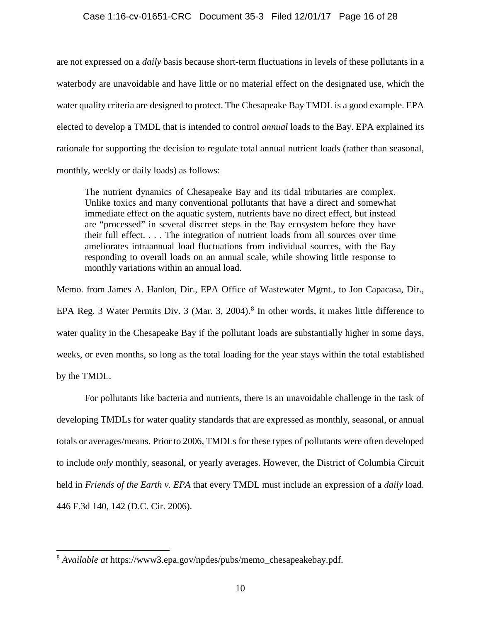### Case 1:16-cv-01651-CRC Document 35-3 Filed 12/01/17 Page 16 of 28

are not expressed on a *daily* basis because short-term fluctuations in levels of these pollutants in a waterbody are unavoidable and have little or no material effect on the designated use, which the water quality criteria are designed to protect. The Chesapeake Bay TMDL is a good example. EPA elected to develop a TMDL that is intended to control *annual* loads to the Bay. EPA explained its rationale for supporting the decision to regulate total annual nutrient loads (rather than seasonal, monthly, weekly or daily loads) as follows:

The nutrient dynamics of Chesapeake Bay and its tidal tributaries are complex. Unlike toxics and many conventional pollutants that have a direct and somewhat immediate effect on the aquatic system, nutrients have no direct effect, but instead are "processed" in several discreet steps in the Bay ecosystem before they have their full effect. . . . The integration of nutrient loads from all sources over time ameliorates intraannual load fluctuations from individual sources, with the Bay responding to overall loads on an annual scale, while showing little response to monthly variations within an annual load.

Memo. from James A. Hanlon, Dir., EPA Office of Wastewater Mgmt., to Jon Capacasa, Dir., EPA Reg. 3 Water Permits Div. 3 (Mar. 3, 2004).<sup>[8](#page-15-0)</sup> In other words, it makes little difference to water quality in the Chesapeake Bay if the pollutant loads are substantially higher in some days, weeks, or even months, so long as the total loading for the year stays within the total established by the TMDL.

For pollutants like bacteria and nutrients, there is an unavoidable challenge in the task of developing TMDLs for water quality standards that are expressed as monthly, seasonal, or annual totals or averages/means. Prior to 2006, TMDLs for these types of pollutants were often developed to include *only* monthly, seasonal, or yearly averages. However, the District of Columbia Circuit held in *Friends of the Earth v. EPA* that every TMDL must include an expression of a *daily* load. 446 F.3d 140, 142 (D.C. Cir. 2006).

<span id="page-15-0"></span><sup>8</sup> *Available at* https://www3.epa.gov/npdes/pubs/memo\_chesapeakebay.pdf.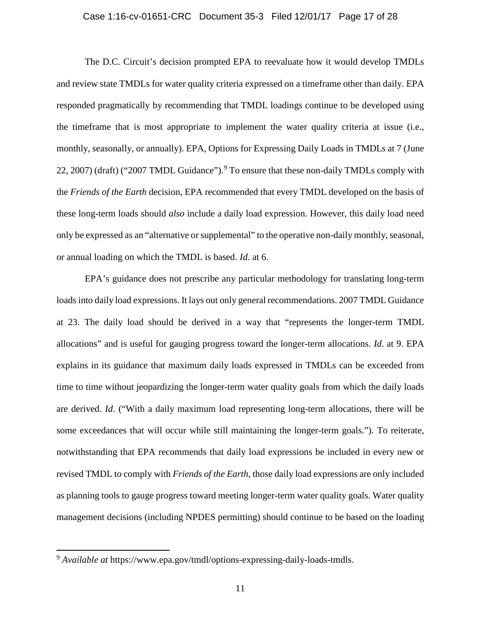### Case 1:16-cv-01651-CRC Document 35-3 Filed 12/01/17 Page 17 of 28

The D.C. Circuit's decision prompted EPA to reevaluate how it would develop TMDLs and review state TMDLs for water quality criteria expressed on a timeframe other than daily. EPA responded pragmatically by recommending that TMDL loadings continue to be developed using the timeframe that is most appropriate to implement the water quality criteria at issue (i.e., monthly, seasonally, or annually). EPA, Options for Expressing Daily Loads in TMDLs at 7 (June 22, 2007) (draft) ("2007 TMDL Guidance").<sup>[9](#page-16-0)</sup> To ensure that these non-daily TMDLs comply with the *Friends of the Earth* decision, EPA recommended that every TMDL developed on the basis of these long-term loads should *also* include a daily load expression. However, this daily load need only be expressed as an "alternative or supplemental" to the operative non-daily monthly, seasonal, or annual loading on which the TMDL is based. *Id*. at 6.

EPA's guidance does not prescribe any particular methodology for translating long-term loads into daily load expressions. It lays out only general recommendations. 2007 TMDL Guidance at 23. The daily load should be derived in a way that "represents the longer-term TMDL allocations" and is useful for gauging progress toward the longer-term allocations. *Id*. at 9. EPA explains in its guidance that maximum daily loads expressed in TMDLs can be exceeded from time to time without jeopardizing the longer-term water quality goals from which the daily loads are derived. *Id*. ("With a daily maximum load representing long-term allocations, there will be some exceedances that will occur while still maintaining the longer-term goals."). To reiterate, notwithstanding that EPA recommends that daily load expressions be included in every new or revised TMDL to comply with *Friends of the Earth*, those daily load expressions are only included as planning tools to gauge progress toward meeting longer-term water quality goals. Water quality management decisions (including NPDES permitting) should continue to be based on the loading

<span id="page-16-0"></span><sup>9</sup> *Available at* https://www.epa.gov/tmdl/options-expressing-daily-loads-tmdls.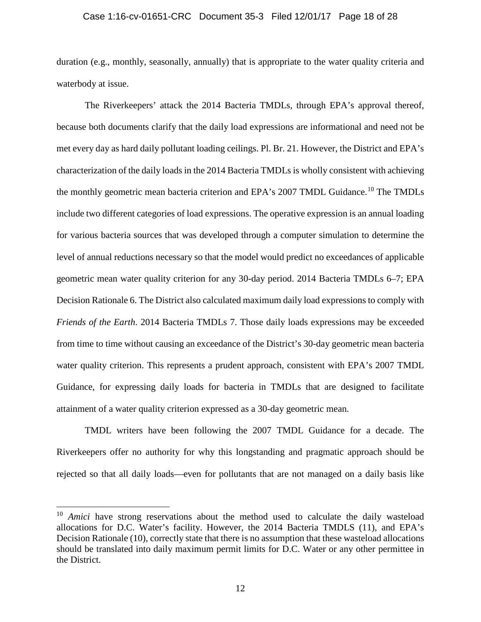### Case 1:16-cv-01651-CRC Document 35-3 Filed 12/01/17 Page 18 of 28

duration (e.g., monthly, seasonally, annually) that is appropriate to the water quality criteria and waterbody at issue.

The Riverkeepers' attack the 2014 Bacteria TMDLs, through EPA's approval thereof, because both documents clarify that the daily load expressions are informational and need not be met every day as hard daily pollutant loading ceilings. Pl. Br. 21. However, the District and EPA's characterization of the daily loads in the 2014 Bacteria TMDLs is wholly consistent with achieving the monthly geometric mean bacteria criterion and EPA's 2007 TMDL Guidance.<sup>[10](#page-17-0)</sup> The TMDLs include two different categories of load expressions. The operative expression is an annual loading for various bacteria sources that was developed through a computer simulation to determine the level of annual reductions necessary so that the model would predict no exceedances of applicable geometric mean water quality criterion for any 30-day period. 2014 Bacteria TMDLs 6–7; EPA Decision Rationale 6. The District also calculated maximum daily load expressions to comply with *Friends of the Earth*. 2014 Bacteria TMDLs 7. Those daily loads expressions may be exceeded from time to time without causing an exceedance of the District's 30-day geometric mean bacteria water quality criterion. This represents a prudent approach, consistent with EPA's 2007 TMDL Guidance, for expressing daily loads for bacteria in TMDLs that are designed to facilitate attainment of a water quality criterion expressed as a 30-day geometric mean.

TMDL writers have been following the 2007 TMDL Guidance for a decade. The Riverkeepers offer no authority for why this longstanding and pragmatic approach should be rejected so that all daily loads—even for pollutants that are not managed on a daily basis like

<span id="page-17-0"></span><sup>&</sup>lt;sup>10</sup> *Amici* have strong reservations about the method used to calculate the daily wasteload allocations for D.C. Water's facility. However, the 2014 Bacteria TMDLS (11), and EPA's Decision Rationale (10), correctly state that there is no assumption that these wasteload allocations should be translated into daily maximum permit limits for D.C. Water or any other permittee in the District.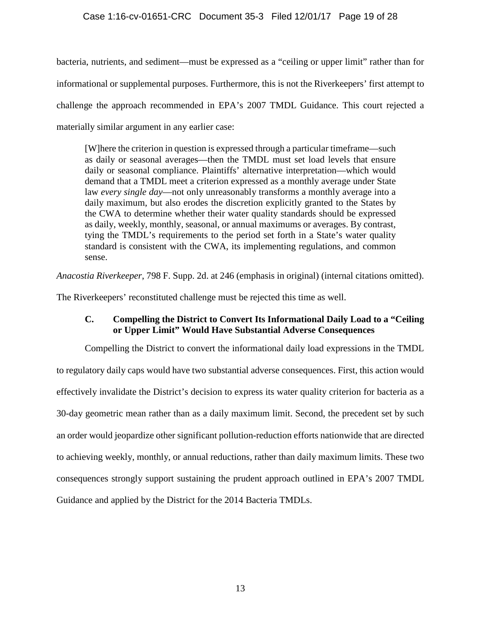bacteria, nutrients, and sediment—must be expressed as a "ceiling or upper limit" rather than for informational or supplemental purposes. Furthermore, this is not the Riverkeepers' first attempt to challenge the approach recommended in EPA's 2007 TMDL Guidance. This court rejected a materially similar argument in any earlier case:

[W]here the criterion in question is expressed through a particular timeframe—such as daily or seasonal averages—then the TMDL must set load levels that ensure daily or seasonal compliance. Plaintiffs' alternative interpretation—which would demand that a TMDL meet a criterion expressed as a monthly average under State law *every single day*—not only unreasonably transforms a monthly average into a daily maximum, but also erodes the discretion explicitly granted to the States by the CWA to determine whether their water quality standards should be expressed as daily, weekly, monthly, seasonal, or annual maximums or averages. By contrast, tying the TMDL's requirements to the period set forth in a State's water quality standard is consistent with the CWA, its implementing regulations, and common sense.

*Anacostia Riverkeeper*, 798 F. Supp. 2d. at 246 (emphasis in original) (internal citations omitted).

<span id="page-18-0"></span>The Riverkeepers' reconstituted challenge must be rejected this time as well.

# **C. Compelling the District to Convert Its Informational Daily Load to a "Ceiling or Upper Limit" Would Have Substantial Adverse Consequences**

Compelling the District to convert the informational daily load expressions in the TMDL to regulatory daily caps would have two substantial adverse consequences. First, this action would effectively invalidate the District's decision to express its water quality criterion for bacteria as a 30-day geometric mean rather than as a daily maximum limit. Second, the precedent set by such an order would jeopardize other significant pollution-reduction efforts nationwide that are directed to achieving weekly, monthly, or annual reductions, rather than daily maximum limits. These two consequences strongly support sustaining the prudent approach outlined in EPA's 2007 TMDL Guidance and applied by the District for the 2014 Bacteria TMDLs.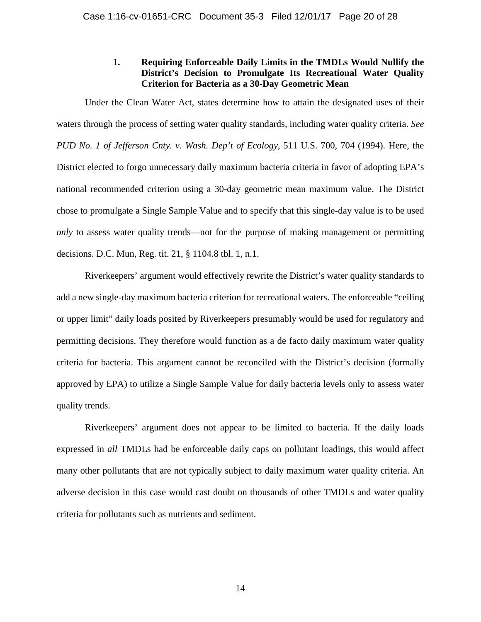## **1. Requiring Enforceable Daily Limits in the TMDLs Would Nullify the District's Decision to Promulgate Its Recreational Water Quality Criterion for Bacteria as a 30-Day Geometric Mean**

<span id="page-19-0"></span>Under the Clean Water Act, states determine how to attain the designated uses of their waters through the process of setting water quality standards, including water quality criteria. *See PUD No. 1 of Jefferson Cnty. v. Wash. Dep't of Ecology*, 511 U.S. 700, 704 (1994). Here, the District elected to forgo unnecessary daily maximum bacteria criteria in favor of adopting EPA's national recommended criterion using a 30-day geometric mean maximum value. The District chose to promulgate a Single Sample Value and to specify that this single-day value is to be used *only* to assess water quality trends—not for the purpose of making management or permitting decisions. D.C. Mun, Reg. tit. 21, § 1104.8 tbl. 1, n.1.

Riverkeepers' argument would effectively rewrite the District's water quality standards to add a new single-day maximum bacteria criterion for recreational waters. The enforceable "ceiling or upper limit" daily loads posited by Riverkeepers presumably would be used for regulatory and permitting decisions. They therefore would function as a de facto daily maximum water quality criteria for bacteria. This argument cannot be reconciled with the District's decision (formally approved by EPA) to utilize a Single Sample Value for daily bacteria levels only to assess water quality trends.

Riverkeepers' argument does not appear to be limited to bacteria. If the daily loads expressed in *all* TMDLs had be enforceable daily caps on pollutant loadings, this would affect many other pollutants that are not typically subject to daily maximum water quality criteria. An adverse decision in this case would cast doubt on thousands of other TMDLs and water quality criteria for pollutants such as nutrients and sediment.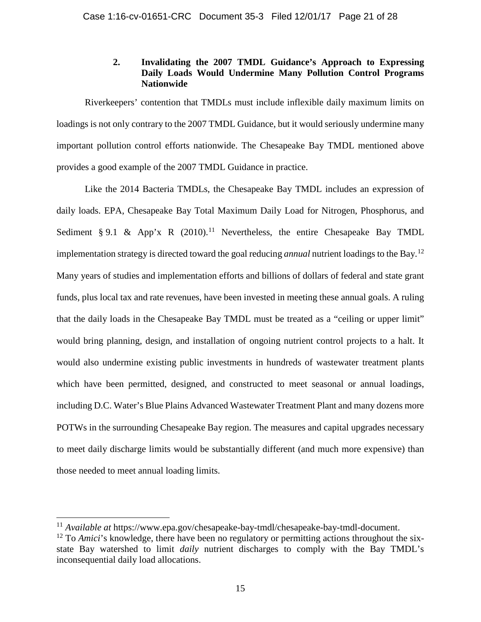# **2. Invalidating the 2007 TMDL Guidance's Approach to Expressing Daily Loads Would Undermine Many Pollution Control Programs Nationwide**

<span id="page-20-0"></span>Riverkeepers' contention that TMDLs must include inflexible daily maximum limits on loadings is not only contrary to the 2007 TMDL Guidance, but it would seriously undermine many important pollution control efforts nationwide. The Chesapeake Bay TMDL mentioned above provides a good example of the 2007 TMDL Guidance in practice.

Like the 2014 Bacteria TMDLs, the Chesapeake Bay TMDL includes an expression of daily loads. EPA, Chesapeake Bay Total Maximum Daily Load for Nitrogen, Phosphorus, and Sediment § 9.1 & App'x R  $(2010).<sup>11</sup>$  $(2010).<sup>11</sup>$  $(2010).<sup>11</sup>$  Nevertheless, the entire Chesapeake Bay TMDL implementation strategy is directed toward the goal reducing *annual* nutrient loadings to the Bay.[12](#page-20-2) Many years of studies and implementation efforts and billions of dollars of federal and state grant funds, plus local tax and rate revenues, have been invested in meeting these annual goals. A ruling that the daily loads in the Chesapeake Bay TMDL must be treated as a "ceiling or upper limit" would bring planning, design, and installation of ongoing nutrient control projects to a halt. It would also undermine existing public investments in hundreds of wastewater treatment plants which have been permitted, designed, and constructed to meet seasonal or annual loadings, including D.C. Water's Blue Plains Advanced Wastewater Treatment Plant and many dozens more POTWs in the surrounding Chesapeake Bay region. The measures and capital upgrades necessary to meet daily discharge limits would be substantially different (and much more expensive) than those needed to meet annual loading limits.

<span id="page-20-1"></span><sup>&</sup>lt;sup>11</sup> *Available at* https://www.epa.gov/chesapeake-bay-tmdl/chesapeake-bay-tmdl-document.

<span id="page-20-2"></span><sup>&</sup>lt;sup>12</sup> To *Amici*'s knowledge, there have been no regulatory or permitting actions throughout the sixstate Bay watershed to limit *daily* nutrient discharges to comply with the Bay TMDL's inconsequential daily load allocations.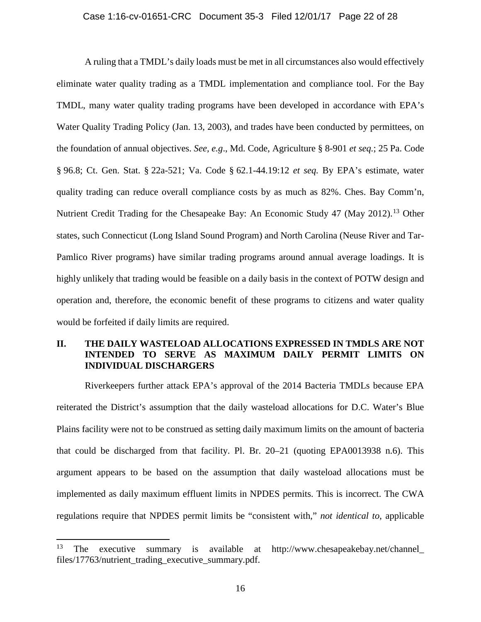A ruling that a TMDL's daily loads must be met in all circumstances also would effectively eliminate water quality trading as a TMDL implementation and compliance tool. For the Bay TMDL, many water quality trading programs have been developed in accordance with EPA's Water Quality Trading Policy (Jan. 13, 2003), and trades have been conducted by permittees, on the foundation of annual objectives. *See, e.g*., Md. Code, Agriculture § 8-901 *et seq.*; 25 Pa. Code § 96.8; Ct. Gen. Stat. § 22a-521; Va. Code § 62.1-44.19:12 *et seq.* By EPA's estimate, water quality trading can reduce overall compliance costs by as much as 82%. Ches. Bay Comm'n, Nutrient Credit Trading for the Chesapeake Bay: An Economic Study 47 (May 2012).<sup>[13](#page-21-1)</sup> Other states, such Connecticut (Long Island Sound Program) and North Carolina (Neuse River and Tar-Pamlico River programs) have similar trading programs around annual average loadings. It is highly unlikely that trading would be feasible on a daily basis in the context of POTW design and operation and, therefore, the economic benefit of these programs to citizens and water quality would be forfeited if daily limits are required.

# <span id="page-21-0"></span>**II. THE DAILY WASTELOAD ALLOCATIONS EXPRESSED IN TMDLS ARE NOT INTENDED TO SERVE AS MAXIMUM DAILY PERMIT LIMITS ON INDIVIDUAL DISCHARGERS**

Riverkeepers further attack EPA's approval of the 2014 Bacteria TMDLs because EPA reiterated the District's assumption that the daily wasteload allocations for D.C. Water's Blue Plains facility were not to be construed as setting daily maximum limits on the amount of bacteria that could be discharged from that facility. Pl. Br. 20–21 (quoting EPA0013938 n.6). This argument appears to be based on the assumption that daily wasteload allocations must be implemented as daily maximum effluent limits in NPDES permits. This is incorrect. The CWA regulations require that NPDES permit limits be "consistent with," *not identical to*, applicable

l

<span id="page-21-1"></span><sup>13</sup> The executive summary is available at http://www.chesapeakebay.net/channel\_ files/17763/nutrient\_trading\_executive\_summary.pdf.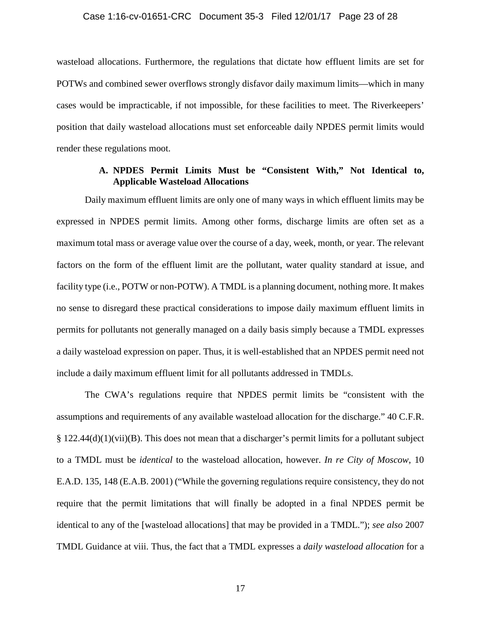wasteload allocations. Furthermore, the regulations that dictate how effluent limits are set for POTWs and combined sewer overflows strongly disfavor daily maximum limits—which in many cases would be impracticable, if not impossible, for these facilities to meet. The Riverkeepers' position that daily wasteload allocations must set enforceable daily NPDES permit limits would render these regulations moot.

### **A. NPDES Permit Limits Must be "Consistent With," Not Identical to, Applicable Wasteload Allocations**

<span id="page-22-0"></span>Daily maximum effluent limits are only one of many ways in which effluent limits may be expressed in NPDES permit limits. Among other forms, discharge limits are often set as a maximum total mass or average value over the course of a day, week, month, or year. The relevant factors on the form of the effluent limit are the pollutant, water quality standard at issue, and facility type (i.e., POTW or non-POTW). A TMDL is a planning document, nothing more. It makes no sense to disregard these practical considerations to impose daily maximum effluent limits in permits for pollutants not generally managed on a daily basis simply because a TMDL expresses a daily wasteload expression on paper. Thus, it is well-established that an NPDES permit need not include a daily maximum effluent limit for all pollutants addressed in TMDLs.

The CWA's regulations require that NPDES permit limits be "consistent with the assumptions and requirements of any available wasteload allocation for the discharge." 40 C.F.R. § 122.44(d)(1)(vii)(B). This does not mean that a discharger's permit limits for a pollutant subject to a TMDL must be *identical* to the wasteload allocation, however. *In re City of Moscow*, 10 E.A.D. 135, 148 (E.A.B. 2001) ("While the governing regulations require consistency, they do not require that the permit limitations that will finally be adopted in a final NPDES permit be identical to any of the [wasteload allocations] that may be provided in a TMDL."); *see also* 2007 TMDL Guidance at viii. Thus, the fact that a TMDL expresses a *daily wasteload allocation* for a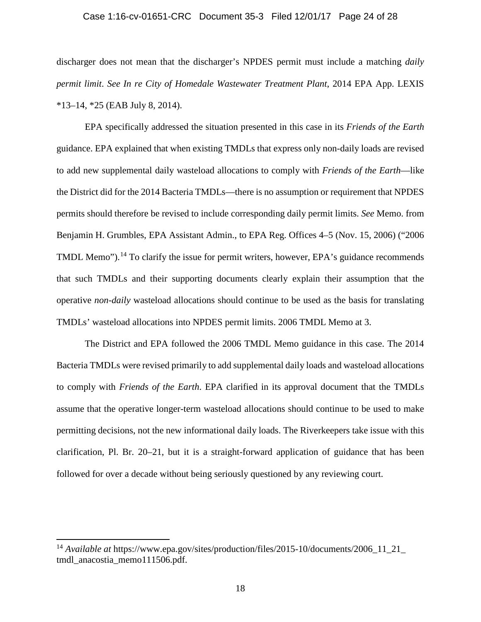### Case 1:16-cv-01651-CRC Document 35-3 Filed 12/01/17 Page 24 of 28

discharger does not mean that the discharger's NPDES permit must include a matching *daily permit limit*. *See In re City of Homedale Wastewater Treatment Plant*, 2014 EPA App. LEXIS \*13–14, \*25 (EAB July 8, 2014).

EPA specifically addressed the situation presented in this case in its *Friends of the Earth* guidance. EPA explained that when existing TMDLs that express only non-daily loads are revised to add new supplemental daily wasteload allocations to comply with *Friends of the Earth*—like the District did for the 2014 Bacteria TMDLs—there is no assumption or requirement that NPDES permits should therefore be revised to include corresponding daily permit limits. *See* Memo. from Benjamin H. Grumbles, EPA Assistant Admin., to EPA Reg. Offices 4–5 (Nov. 15, 2006) ("2006 TMDL Memo").<sup>[14](#page-23-0)</sup> To clarify the issue for permit writers, however, EPA's guidance recommends that such TMDLs and their supporting documents clearly explain their assumption that the operative *non-daily* wasteload allocations should continue to be used as the basis for translating TMDLs' wasteload allocations into NPDES permit limits. 2006 TMDL Memo at 3.

The District and EPA followed the 2006 TMDL Memo guidance in this case. The 2014 Bacteria TMDLs were revised primarily to add supplemental daily loads and wasteload allocations to comply with *Friends of the Earth*. EPA clarified in its approval document that the TMDLs assume that the operative longer-term wasteload allocations should continue to be used to make permitting decisions, not the new informational daily loads. The Riverkeepers take issue with this clarification, Pl. Br. 20–21, but it is a straight-forward application of guidance that has been followed for over a decade without being seriously questioned by any reviewing court.

l

<span id="page-23-0"></span><sup>14</sup> *Available at* https://www.epa.gov/sites/production/files/2015-10/documents/2006\_11\_21\_ tmdl anacostia memo111506.pdf.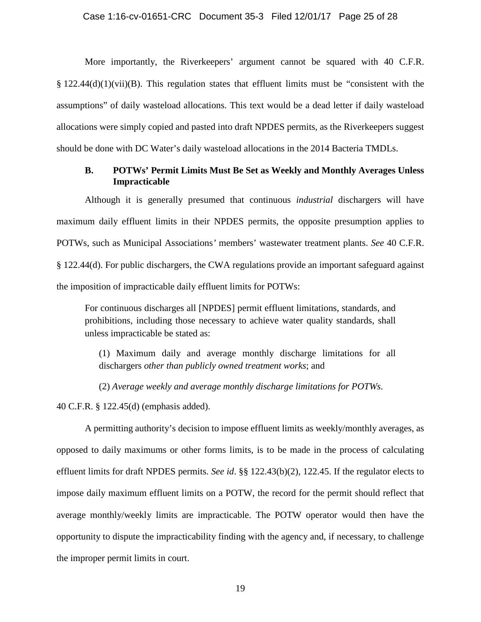More importantly, the Riverkeepers' argument cannot be squared with 40 C.F.R.  $\S 122.44(d)(1)(vii)(B)$ . This regulation states that effluent limits must be "consistent with the assumptions" of daily wasteload allocations. This text would be a dead letter if daily wasteload allocations were simply copied and pasted into draft NPDES permits, as the Riverkeepers suggest should be done with DC Water's daily wasteload allocations in the 2014 Bacteria TMDLs.

### <span id="page-24-0"></span>**B. POTWs' Permit Limits Must Be Set as Weekly and Monthly Averages Unless Impracticable**

Although it is generally presumed that continuous *industrial* dischargers will have maximum daily effluent limits in their NPDES permits, the opposite presumption applies to POTWs, such as Municipal Associations*'* members' wastewater treatment plants. *See* 40 C.F.R. § 122.44(d). For public dischargers, the CWA regulations provide an important safeguard against the imposition of impracticable daily effluent limits for POTWs:

For continuous discharges all [NPDES] permit effluent limitations, standards, and prohibitions, including those necessary to achieve water quality standards, shall unless impracticable be stated as:

(1) Maximum daily and average monthly discharge limitations for all dischargers *other than publicly owned treatment works*; and

(2) *Average weekly and average monthly discharge limitations for POTWs*.

40 C.F.R. § 122.45(d) (emphasis added).

A permitting authority's decision to impose effluent limits as weekly/monthly averages, as opposed to daily maximums or other forms limits, is to be made in the process of calculating effluent limits for draft NPDES permits. *See id*. §§ 122.43(b)(2), 122.45. If the regulator elects to impose daily maximum effluent limits on a POTW, the record for the permit should reflect that average monthly/weekly limits are impracticable. The POTW operator would then have the opportunity to dispute the impracticability finding with the agency and, if necessary, to challenge the improper permit limits in court.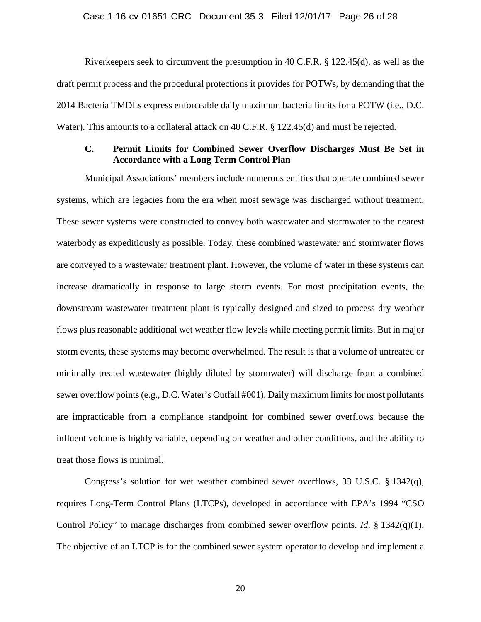### Case 1:16-cv-01651-CRC Document 35-3 Filed 12/01/17 Page 26 of 28

Riverkeepers seek to circumvent the presumption in 40 C.F.R. § 122.45(d), as well as the draft permit process and the procedural protections it provides for POTWs, by demanding that the 2014 Bacteria TMDLs express enforceable daily maximum bacteria limits for a POTW (i.e., D.C. Water). This amounts to a collateral attack on 40 C.F.R. § 122.45(d) and must be rejected.

### <span id="page-25-0"></span>**C. Permit Limits for Combined Sewer Overflow Discharges Must Be Set in Accordance with a Long Term Control Plan**

Municipal Associations' members include numerous entities that operate combined sewer systems, which are legacies from the era when most sewage was discharged without treatment. These sewer systems were constructed to convey both wastewater and stormwater to the nearest waterbody as expeditiously as possible. Today, these combined wastewater and stormwater flows are conveyed to a wastewater treatment plant. However, the volume of water in these systems can increase dramatically in response to large storm events. For most precipitation events, the downstream wastewater treatment plant is typically designed and sized to process dry weather flows plus reasonable additional wet weather flow levels while meeting permit limits. But in major storm events, these systems may become overwhelmed. The result is that a volume of untreated or minimally treated wastewater (highly diluted by stormwater) will discharge from a combined sewer overflow points (e.g., D.C. Water's Outfall #001). Daily maximum limits for most pollutants are impracticable from a compliance standpoint for combined sewer overflows because the influent volume is highly variable, depending on weather and other conditions, and the ability to treat those flows is minimal.

Congress's solution for wet weather combined sewer overflows, 33 U.S.C. § 1342(q), requires Long-Term Control Plans (LTCPs), developed in accordance with EPA's 1994 "CSO Control Policy" to manage discharges from combined sewer overflow points. *Id*. § 1342(q)(1). The objective of an LTCP is for the combined sewer system operator to develop and implement a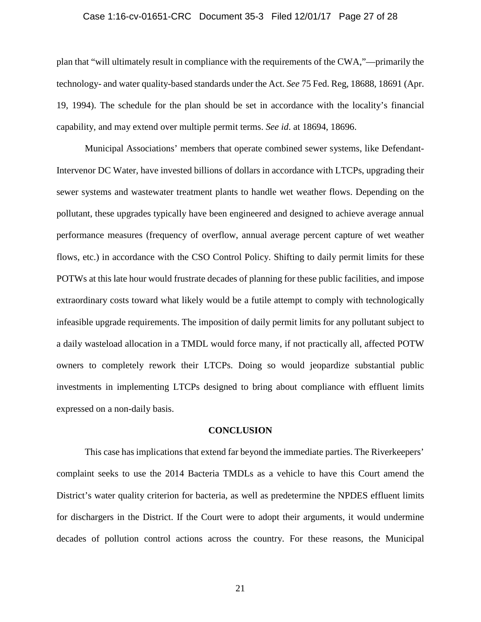### Case 1:16-cv-01651-CRC Document 35-3 Filed 12/01/17 Page 27 of 28

plan that "will ultimately result in compliance with the requirements of the CWA,"—primarily the technology- and water quality-based standards under the Act. *See* 75 Fed. Reg, 18688, 18691 (Apr. 19, 1994). The schedule for the plan should be set in accordance with the locality's financial capability, and may extend over multiple permit terms. *See id*. at 18694, 18696.

Municipal Associations' members that operate combined sewer systems, like Defendant-Intervenor DC Water, have invested billions of dollars in accordance with LTCPs, upgrading their sewer systems and wastewater treatment plants to handle wet weather flows. Depending on the pollutant, these upgrades typically have been engineered and designed to achieve average annual performance measures (frequency of overflow, annual average percent capture of wet weather flows, etc.) in accordance with the CSO Control Policy. Shifting to daily permit limits for these POTWs at this late hour would frustrate decades of planning for these public facilities, and impose extraordinary costs toward what likely would be a futile attempt to comply with technologically infeasible upgrade requirements. The imposition of daily permit limits for any pollutant subject to a daily wasteload allocation in a TMDL would force many, if not practically all, affected POTW owners to completely rework their LTCPs. Doing so would jeopardize substantial public investments in implementing LTCPs designed to bring about compliance with effluent limits expressed on a non-daily basis.

#### **CONCLUSION**

<span id="page-26-0"></span>This case has implications that extend far beyond the immediate parties. The Riverkeepers' complaint seeks to use the 2014 Bacteria TMDLs as a vehicle to have this Court amend the District's water quality criterion for bacteria, as well as predetermine the NPDES effluent limits for dischargers in the District. If the Court were to adopt their arguments, it would undermine decades of pollution control actions across the country. For these reasons, the Municipal